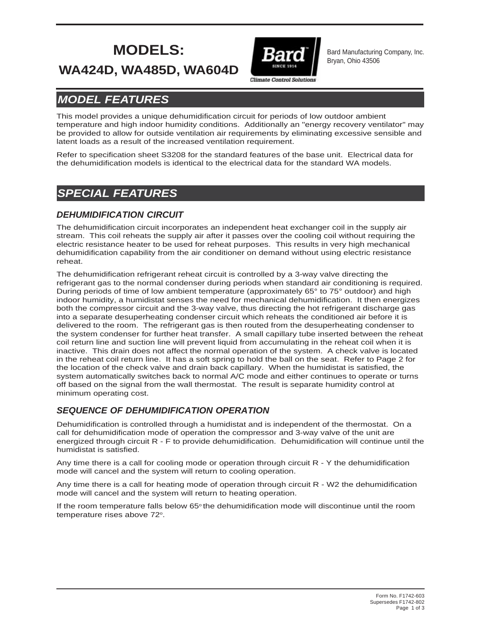# **MODELS:**



Bard Manufacturing Company, Inc. Bryan, Ohio 43506

## **WA424D, WA485D, WA604D**

## *MODEL FEATURES*

This model provides a unique dehumidification circuit for periods of low outdoor ambient temperature and high indoor humidity conditions. Additionally an "energy recovery ventilator" may be provided to allow for outside ventilation air requirements by eliminating excessive sensible and latent loads as a result of the increased ventilation requirement.

Refer to specification sheet S3208 for the standard features of the base unit. Electrical data for the dehumidification models is identical to the electrical data for the standard WA models.

## *SPECIAL FEATURES*

#### *DEHUMIDIFICATION CIRCUIT*

The dehumidification circuit incorporates an independent heat exchanger coil in the supply air stream. This coil reheats the supply air after it passes over the cooling coil without requiring the electric resistance heater to be used for reheat purposes. This results in very high mechanical dehumidification capability from the air conditioner on demand without using electric resistance reheat.

The dehumidification refrigerant reheat circuit is controlled by a 3-way valve directing the refrigerant gas to the normal condenser during periods when standard air conditioning is required. During periods of time of low ambient temperature (approximately 65° to 75° outdoor) and high indoor humidity, a humidistat senses the need for mechanical dehumidification. It then energizes both the compressor circuit and the 3-way valve, thus directing the hot refrigerant discharge gas into a separate desuperheating condenser circuit which reheats the conditioned air before it is delivered to the room. The refrigerant gas is then routed from the desuperheating condenser to the system condenser for further heat transfer. A small capillary tube inserted between the reheat coil return line and suction line will prevent liquid from accumulating in the reheat coil when it is inactive. This drain does not affect the normal operation of the system. A check valve is located in the reheat coil return line. It has a soft spring to hold the ball on the seat. Refer to Page 2 for the location of the check valve and drain back capillary. When the humidistat is satisfied, the system automatically switches back to normal A/C mode and either continues to operate or turns off based on the signal from the wall thermostat. The result is separate humidity control at minimum operating cost.

#### *SEQUENCE OF DEHUMIDIFICATION OPERATION*

Dehumidification is controlled through a humidistat and is independent of the thermostat. On a call for dehumidification mode of operation the compressor and 3-way valve of the unit are energized through circuit R - F to provide dehumidification. Dehumidification will continue until the humidistat is satisfied.

Any time there is a call for cooling mode or operation through circuit R - Y the dehumidification mode will cancel and the system will return to cooling operation.

Any time there is a call for heating mode of operation through circuit R - W2 the dehumidification mode will cancel and the system will return to heating operation.

If the room temperature falls below  $65^\circ$  the dehumidification mode will discontinue until the room temperature rises above 72°.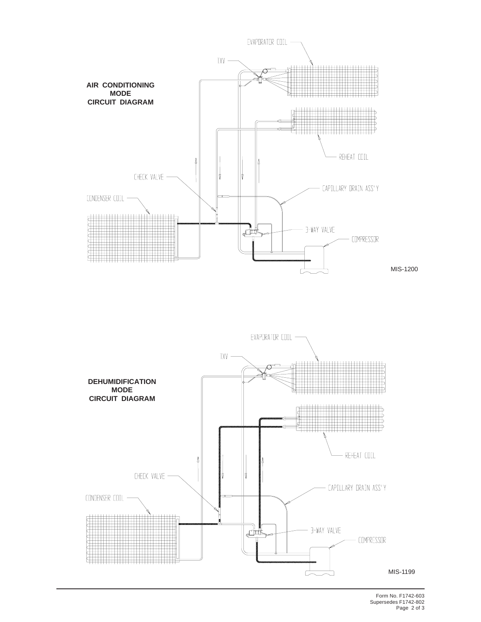